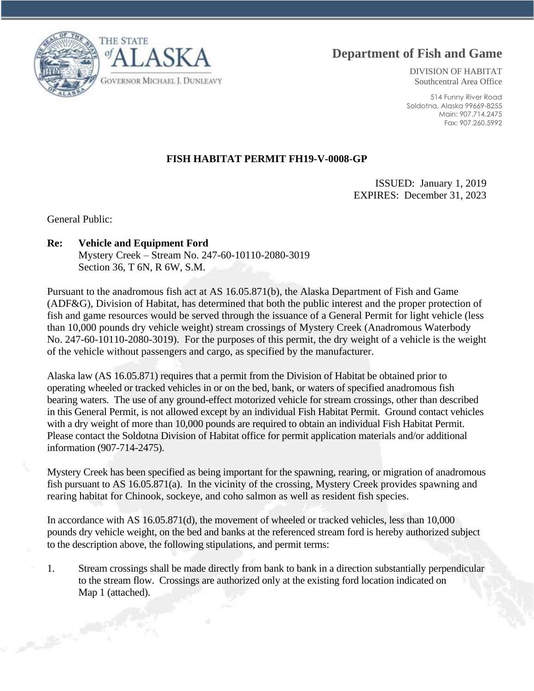

DIVISION OF HABITAT Southcentral Area Office

514 Funny River Road Soldotna, Alaska 99669-8255 Main: 907.714.2475 Fax: 907.260.5992

## **FISH HABITAT PERMIT FH19-V-0008-GP**

ISSUED: January 1, 2019 EXPIRES: December 31, 2023

General Public:

## **Re: Vehicle and Equipment Ford**

Mystery Creek – Stream No. 247-60-10110-2080-3019 Section 36, T 6N, R 6W, S.M.

Pursuant to the anadromous fish act at AS 16.05.871(b), the Alaska Department of Fish and Game (ADF&G), Division of Habitat, has determined that both the public interest and the proper protection of fish and game resources would be served through the issuance of a General Permit for light vehicle (less than 10,000 pounds dry vehicle weight) stream crossings of Mystery Creek (Anadromous Waterbody No. 247-60-10110-2080-3019). For the purposes of this permit, the dry weight of a vehicle is the weight of the vehicle without passengers and cargo, as specified by the manufacturer.

Alaska law (AS 16.05.871) requires that a permit from the Division of Habitat be obtained prior to operating wheeled or tracked vehicles in or on the bed, bank, or waters of specified anadromous fish bearing waters. The use of any ground-effect motorized vehicle for stream crossings, other than described in this General Permit, is not allowed except by an individual Fish Habitat Permit. Ground contact vehicles with a dry weight of more than 10,000 pounds are required to obtain an individual Fish Habitat Permit. Please contact the Soldotna Division of Habitat office for permit application materials and/or additional information (907-714-2475).

Mystery Creek has been specified as being important for the spawning, rearing, or migration of anadromous fish pursuant to AS 16.05.871(a). In the vicinity of the crossing, Mystery Creek provides spawning and rearing habitat for Chinook, sockeye, and coho salmon as well as resident fish species.

In accordance with AS 16.05.871(d), the movement of wheeled or tracked vehicles, less than 10,000 pounds dry vehicle weight, on the bed and banks at the referenced stream ford is hereby authorized subject to the description above, the following stipulations, and permit terms:

1. Stream crossings shall be made directly from bank to bank in a direction substantially perpendicular to the stream flow. Crossings are authorized only at the existing ford location indicated on Map 1 (attached).

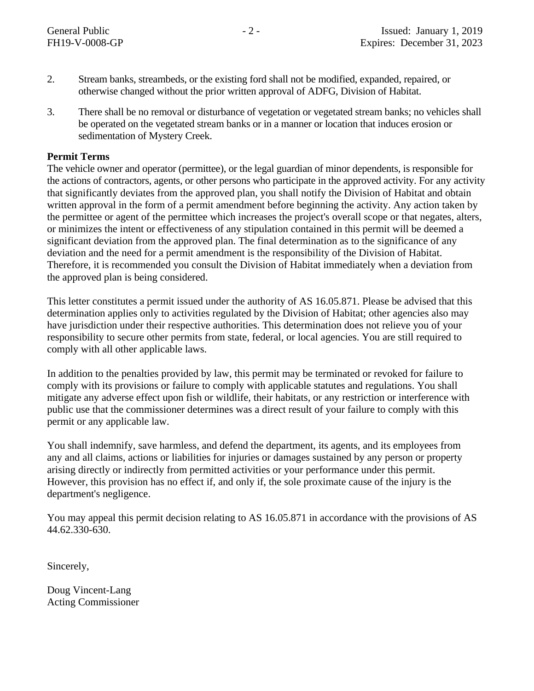- 2. Stream banks, streambeds, or the existing ford shall not be modified, expanded, repaired, or otherwise changed without the prior written approval of ADFG, Division of Habitat.
- 3. There shall be no removal or disturbance of vegetation or vegetated stream banks; no vehicles shall be operated on the vegetated stream banks or in a manner or location that induces erosion or sedimentation of Mystery Creek.

## **Permit Terms**

The vehicle owner and operator (permittee), or the legal guardian of minor dependents, is responsible for the actions of contractors, agents, or other persons who participate in the approved activity. For any activity that significantly deviates from the approved plan, you shall notify the Division of Habitat and obtain written approval in the form of a permit amendment before beginning the activity. Any action taken by the permittee or agent of the permittee which increases the project's overall scope or that negates, alters, or minimizes the intent or effectiveness of any stipulation contained in this permit will be deemed a significant deviation from the approved plan. The final determination as to the significance of any deviation and the need for a permit amendment is the responsibility of the Division of Habitat. Therefore, it is recommended you consult the Division of Habitat immediately when a deviation from the approved plan is being considered.

This letter constitutes a permit issued under the authority of AS 16.05.871. Please be advised that this determination applies only to activities regulated by the Division of Habitat; other agencies also may have jurisdiction under their respective authorities. This determination does not relieve you of your responsibility to secure other permits from state, federal, or local agencies. You are still required to comply with all other applicable laws.

In addition to the penalties provided by law, this permit may be terminated or revoked for failure to comply with its provisions or failure to comply with applicable statutes and regulations. You shall mitigate any adverse effect upon fish or wildlife, their habitats, or any restriction or interference with public use that the commissioner determines was a direct result of your failure to comply with this permit or any applicable law.

You shall indemnify, save harmless, and defend the department, its agents, and its employees from any and all claims, actions or liabilities for injuries or damages sustained by any person or property arising directly or indirectly from permitted activities or your performance under this permit. However, this provision has no effect if, and only if, the sole proximate cause of the injury is the department's negligence.

You may appeal this permit decision relating to AS 16.05.871 in accordance with the provisions of AS 44.62.330-630.

Sincerely,

Doug Vincent-Lang Acting Commissioner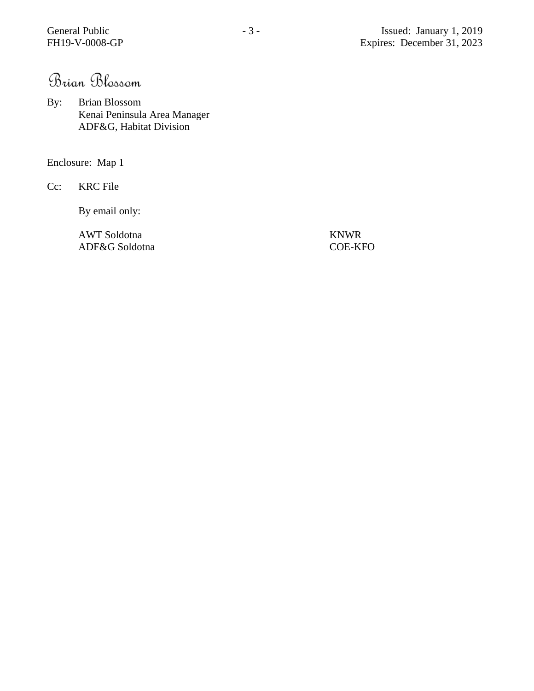Brian Blossom

By: Brian Blossom Kenai Peninsula Area Manager ADF&G, Habitat Division

Enclosure: Map 1

Cc: KRC File

By email only:

AWT Soldotna KNWR ADF&G Soldotna COE-KFO